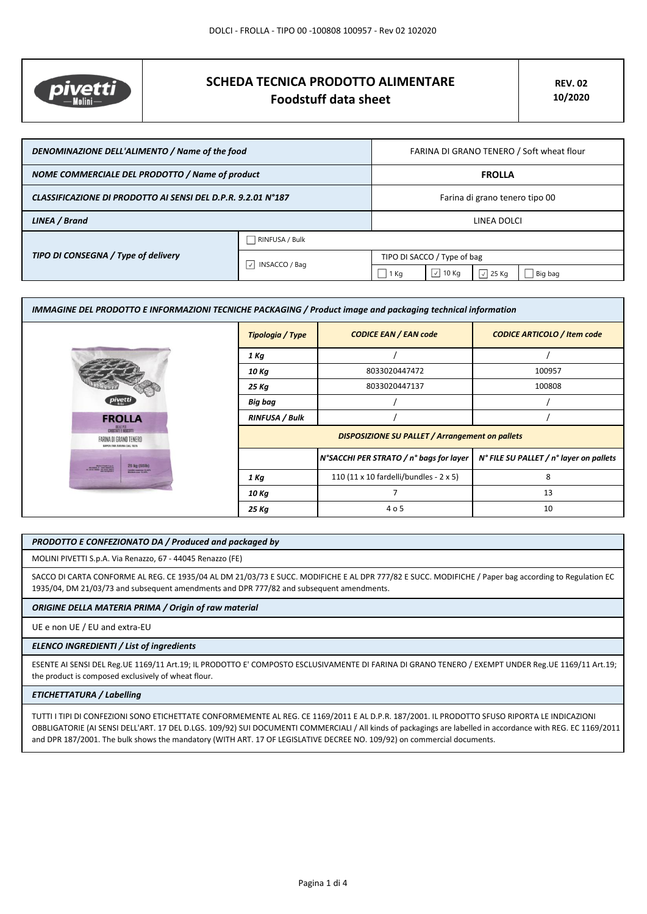

# **SCHEDA TECNICA PRODOTTO ALIMENTARE Foodstuff data sheet**

| DENOMINAZIONE DELL'ALIMENTO / Name of the food               |                           | FARINA DI GRANO TENERO / Soft wheat flour |                              |                  |         |
|--------------------------------------------------------------|---------------------------|-------------------------------------------|------------------------------|------------------|---------|
| NOME COMMERCIALE DEL PRODOTTO / Name of product              |                           | <b>FROLLA</b>                             |                              |                  |         |
| CLASSIFICAZIONE DI PRODOTTO AI SENSI DEL D.P.R. 9.2.01 N°187 |                           | Farina di grano tenero tipo 00            |                              |                  |         |
| LINEA / Brand                                                |                           | LINEA DOLCI                               |                              |                  |         |
| TIPO DI CONSEGNA / Type of delivery                          | RINFUSA / Bulk            |                                           |                              |                  |         |
|                                                              | $ \vee $<br>INSACCO / Bag | TIPO DI SACCO / Type of bag               |                              |                  |         |
|                                                              |                           | 1 Kg                                      | $\vert \cdot \vert$<br>10 Kg | $\sqrt{2}$ 25 Kg | Big bag |

| IMMAGINE DEL PRODOTTO E INFORMAZIONI TECNICHE PACKAGING / Product image and packaging technical information |                         |                                                        |                                         |
|-------------------------------------------------------------------------------------------------------------|-------------------------|--------------------------------------------------------|-----------------------------------------|
|                                                                                                             | <b>Tipologia / Type</b> | <b>CODICE EAN / EAN code</b>                           | <b>CODICE ARTICOLO / Item code</b>      |
|                                                                                                             | 1 Kg                    |                                                        |                                         |
|                                                                                                             | 10 Kg                   | 8033020447472                                          | 100957                                  |
|                                                                                                             | 25 Kg                   | 8033020447137                                          | 100808                                  |
|                                                                                                             | Big bag                 |                                                        |                                         |
| <b>FROLLA</b>                                                                                               | <b>RINFUSA / Bulk</b>   |                                                        |                                         |
| DEALERS<br>FARINA DI GRANO TENERO<br>SAPER FAR FARINA DAL 1871                                              |                         | <b>DISPOSIZIONE SU PALLET / Arrangement on pallets</b> |                                         |
| 25 kg (55lb)<br><b>Malte Predi La A</b><br>Carolina e del Malte                                             |                         | N°SACCHI PER STRATO / n° bags for layer                | N° FILE SU PALLET / n° layer on pallets |
| <b>Eli mentine 10,52</b>                                                                                    | 1 Kg                    | 110 (11 x 10 fardelli/bundles - 2 x 5)                 | 8                                       |
|                                                                                                             | 10 Kg                   |                                                        | 13                                      |
|                                                                                                             | 25 Kg                   | 4 o 5                                                  | 10                                      |

#### *PRODOTTO E CONFEZIONATO DA / Produced and packaged by*

MOLINI PIVETTI S.p.A. Via Renazzo, 67 - 44045 Renazzo (FE)

SACCO DI CARTA CONFORME AL REG. CE 1935/04 AL DM 21/03/73 E SUCC. MODIFICHE E AL DPR 777/82 E SUCC. MODIFICHE / Paper bag according to Regulation EC 1935/04, DM 21/03/73 and subsequent amendments and DPR 777/82 and subsequent amendments.

## *ORIGINE DELLA MATERIA PRIMA / Origin of raw material*

UE e non UE / EU and extra-EU

#### *ELENCO INGREDIENTI / List of ingredients*

ESENTE AI SENSI DEL Reg.UE 1169/11 Art.19; IL PRODOTTO E' COMPOSTO ESCLUSIVAMENTE DI FARINA DI GRANO TENERO / EXEMPT UNDER Reg.UE 1169/11 Art.19; the product is composed exclusively of wheat flour.

# *ETICHETTATURA / Labelling*

TUTTI I TIPI DI CONFEZIONI SONO ETICHETTATE CONFORMEMENTE AL REG. CE 1169/2011 E AL D.P.R. 187/2001. IL PRODOTTO SFUSO RIPORTA LE INDICAZIONI OBBLIGATORIE (AI SENSI DELL'ART. 17 DEL D.LGS. 109/92) SUI DOCUMENTI COMMERCIALI / All kinds of packagings are labelled in accordance with REG. EC 1169/2011 and DPR 187/2001. The bulk shows the mandatory (WITH ART. 17 OF LEGISLATIVE DECREE NO. 109/92) on commercial documents.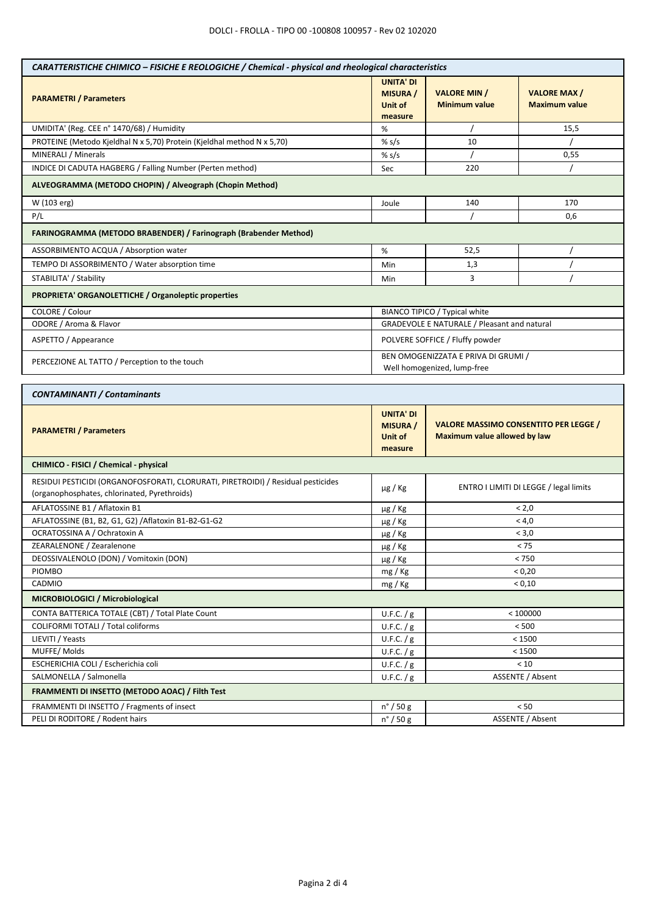| CARATTERISTICHE CHIMICO - FISICHE E REOLOGICHE / Chemical - physical and rheological characteristics                             |                                                           |                                                                                     |                                            |  |
|----------------------------------------------------------------------------------------------------------------------------------|-----------------------------------------------------------|-------------------------------------------------------------------------------------|--------------------------------------------|--|
| <b>PARAMETRI</b> / Parameters                                                                                                    | <b>UNITA' DI</b><br><b>MISURA</b> /<br>Unit of<br>measure | <b>VALORE MIN /</b><br><b>Minimum value</b>                                         | <b>VALORE MAX/</b><br><b>Maximum value</b> |  |
| UMIDITA' (Reg. CEE n° 1470/68) / Humidity                                                                                        | $\%$                                                      |                                                                                     | 15,5                                       |  |
| PROTEINE (Metodo Kjeldhal N x 5,70) Protein (Kjeldhal method N x 5,70)                                                           | % $s/s$                                                   | 10                                                                                  |                                            |  |
| MINERALI / Minerals                                                                                                              | % $s/s$                                                   |                                                                                     | 0,55                                       |  |
| INDICE DI CADUTA HAGBERG / Falling Number (Perten method)                                                                        | Sec                                                       | 220                                                                                 |                                            |  |
| ALVEOGRAMMA (METODO CHOPIN) / Alveograph (Chopin Method)                                                                         |                                                           |                                                                                     |                                            |  |
| W (103 erg)                                                                                                                      | Joule                                                     | 140<br>170                                                                          |                                            |  |
| P/L                                                                                                                              |                                                           |                                                                                     | 0,6                                        |  |
| FARINOGRAMMA (METODO BRABENDER) / Farinograph (Brabender Method)                                                                 |                                                           |                                                                                     |                                            |  |
| ASSORBIMENTO ACQUA / Absorption water                                                                                            | %                                                         | 52,5                                                                                |                                            |  |
| TEMPO DI ASSORBIMENTO / Water absorption time                                                                                    | Min                                                       | 1,3                                                                                 | $\prime$                                   |  |
| STABILITA' / Stability                                                                                                           | Min                                                       | 3                                                                                   |                                            |  |
| PROPRIETA' ORGANOLETTICHE / Organoleptic properties                                                                              |                                                           |                                                                                     |                                            |  |
| COLORE / Colour                                                                                                                  |                                                           | BIANCO TIPICO / Typical white                                                       |                                            |  |
| ODORE / Aroma & Flavor                                                                                                           |                                                           | GRADEVOLE E NATURALE / Pleasant and natural                                         |                                            |  |
| ASPETTO / Appearance                                                                                                             |                                                           | POLVERE SOFFICE / Fluffy powder                                                     |                                            |  |
| PERCEZIONE AL TATTO / Perception to the touch                                                                                    |                                                           | BEN OMOGENIZZATA E PRIVA DI GRUMI /<br>Well homogenized, lump-free                  |                                            |  |
| <b>CONTAMINANTI / Contaminants</b>                                                                                               |                                                           |                                                                                     |                                            |  |
| <b>PARAMETRI</b> / Parameters                                                                                                    | <b>UNITA' DI</b><br><b>MISURA</b> /<br>Unit of<br>measure | <b>VALORE MASSIMO CONSENTITO PER LEGGE /</b><br><b>Maximum value allowed by law</b> |                                            |  |
| CHIMICO - FISICI / Chemical - physical                                                                                           |                                                           |                                                                                     |                                            |  |
| RESIDUI PESTICIDI (ORGANOFOSFORATI, CLORURATI, PIRETROIDI) / Residual pesticides<br>(organophosphates, chlorinated, Pyrethroids) | $\mu$ g / Kg                                              | ENTRO I LIMITI DI LEGGE / legal limits                                              |                                            |  |
| AFLATOSSINE B1 / Aflatoxin B1                                                                                                    | $\mu$ g / Kg                                              | < 2.0                                                                               |                                            |  |
| AFLATOSSINE (B1, B2, G1, G2) / Aflatoxin B1-B2-G1-G2                                                                             | $\mu$ g / Kg                                              | < 4,0                                                                               |                                            |  |
| OCRATOSSINA A / Ochratoxin A                                                                                                     | $\mu$ g / Kg                                              | < 3,0                                                                               |                                            |  |
| ZEARALENONE / Zearalenone                                                                                                        | µg / Kg                                                   | $< 75$                                                                              |                                            |  |
| DEOSSIVALENOLO (DON) / Vomitoxin (DON)                                                                                           | $\mu$ g / Kg                                              | < 750                                                                               |                                            |  |
| <b>PIOMBO</b>                                                                                                                    | mg / Kg                                                   | < 0,20                                                                              |                                            |  |
| CADMIO                                                                                                                           | mg / Kg                                                   | < 0,10                                                                              |                                            |  |
| MICROBIOLOGICI / Microbiological                                                                                                 |                                                           |                                                                                     |                                            |  |
| CONTA BATTERICA TOTALE (CBT) / Total Plate Count                                                                                 | U.F.C. $/g$                                               | < 100000                                                                            |                                            |  |
| COLIFORMI TOTALI / Total coliforms                                                                                               | U.F.C. / g                                                | < 500                                                                               |                                            |  |
| LIEVITI / Yeasts                                                                                                                 | U.F.C. $/g$                                               | < 1500                                                                              |                                            |  |
| MUFFE/Molds                                                                                                                      | U.F.C. $/g$                                               | < 1500                                                                              |                                            |  |
| ESCHERICHIA COLI / Escherichia coli                                                                                              | U.F.C. $/g$                                               | < 10                                                                                |                                            |  |
| SALMONELLA / Salmonella                                                                                                          | U.F.C. / g                                                | ASSENTE / Absent                                                                    |                                            |  |
| FRAMMENTI DI INSETTO (METODO AOAC) / Filth Test                                                                                  |                                                           |                                                                                     |                                            |  |
| FRAMMENTI DI INSETTO / Fragments of insect                                                                                       | $n^{\circ}$ / 50 g                                        | < 50                                                                                |                                            |  |
| PELI DI RODITORE / Rodent hairs                                                                                                  | $n^{\circ}$ / 50 g                                        | ASSENTE / Absent                                                                    |                                            |  |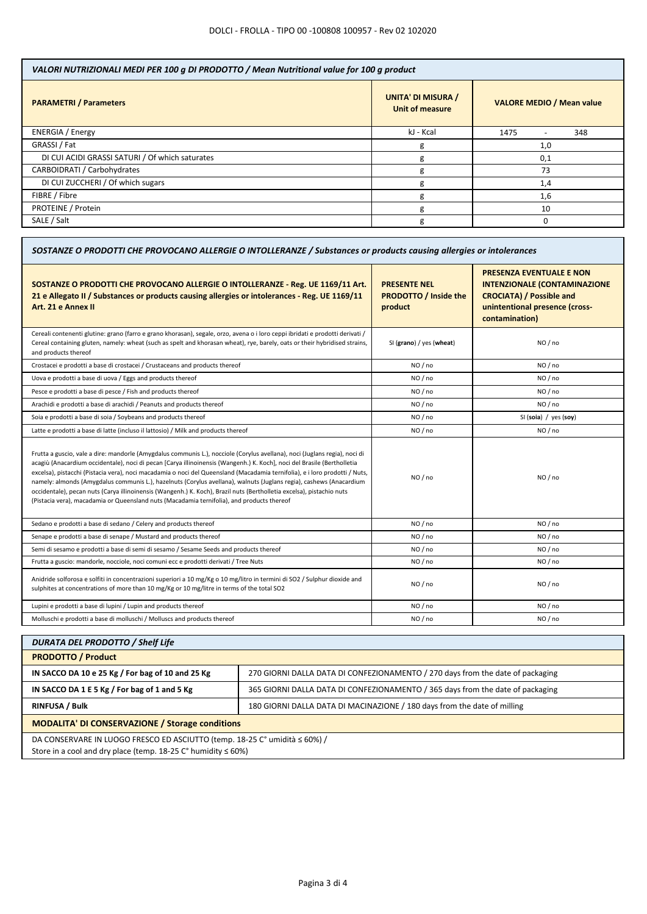| VALORI NUTRIZIONALI MEDI PER 100 g DI PRODOTTO / Mean Nutritional value for 100 g product |                                              |                                  |  |
|-------------------------------------------------------------------------------------------|----------------------------------------------|----------------------------------|--|
| <b>PARAMETRI / Parameters</b>                                                             | <b>UNITA' DI MISURA /</b><br>Unit of measure | <b>VALORE MEDIO / Mean value</b> |  |
| <b>ENERGIA</b> / Energy                                                                   | kJ - Kcal                                    | 1475<br>348                      |  |
| GRASSI / Fat                                                                              | g                                            | 1,0                              |  |
| DI CUI ACIDI GRASSI SATURI / Of which saturates                                           | g                                            | 0,1                              |  |
| CARBOIDRATI / Carbohydrates                                                               | g                                            | 73                               |  |
| DI CUI ZUCCHERI / Of which sugars                                                         | g                                            | 1,4                              |  |
| FIBRE / Fibre                                                                             | g                                            | 1,6                              |  |
| PROTEINE / Protein                                                                        | g                                            | 10                               |  |
| SALE / Salt                                                                               | g                                            |                                  |  |

| SOSTANZE O PRODOTTI CHE PROVOCANO ALLERGIE O INTOLLERANZE / Substances or products causing allergies or intolerances                                                                                                                                                                                                                                                                                                                                                                                                                                                                                                                                                                                                               |                                                                |                                                                                                                                                               |  |
|------------------------------------------------------------------------------------------------------------------------------------------------------------------------------------------------------------------------------------------------------------------------------------------------------------------------------------------------------------------------------------------------------------------------------------------------------------------------------------------------------------------------------------------------------------------------------------------------------------------------------------------------------------------------------------------------------------------------------------|----------------------------------------------------------------|---------------------------------------------------------------------------------------------------------------------------------------------------------------|--|
| SOSTANZE O PRODOTTI CHE PROVOCANO ALLERGIE O INTOLLERANZE - Reg. UE 1169/11 Art.<br>21 e Allegato II / Substances or products causing allergies or intolerances - Reg. UE 1169/11<br>Art. 21 e Annex II                                                                                                                                                                                                                                                                                                                                                                                                                                                                                                                            | <b>PRESENTE NEL</b><br><b>PRODOTTO / Inside the</b><br>product | <b>PRESENZA EVENTUALE E NON</b><br><b>INTENZIONALE (CONTAMINAZIONE</b><br><b>CROCIATA) / Possible and</b><br>unintentional presence (cross-<br>contamination) |  |
| Cereali contenenti glutine: grano (farro e grano khorasan), segale, orzo, avena o i loro ceppi ibridati e prodotti derivati /<br>Cereal containing gluten, namely: wheat (such as spelt and khorasan wheat), rye, barely, oats or their hybridised strains,<br>and products thereof                                                                                                                                                                                                                                                                                                                                                                                                                                                | SI (grano) / yes (wheat)                                       | NO / no                                                                                                                                                       |  |
| Crostacei e prodotti a base di crostacei / Crustaceans and products thereof                                                                                                                                                                                                                                                                                                                                                                                                                                                                                                                                                                                                                                                        | NO / no                                                        | NO / no                                                                                                                                                       |  |
| Uova e prodotti a base di uova / Eggs and products thereof                                                                                                                                                                                                                                                                                                                                                                                                                                                                                                                                                                                                                                                                         | NO / no                                                        | NO / no                                                                                                                                                       |  |
| Pesce e prodotti a base di pesce / Fish and products thereof                                                                                                                                                                                                                                                                                                                                                                                                                                                                                                                                                                                                                                                                       | NO/no                                                          | NO/no                                                                                                                                                         |  |
| Arachidi e prodotti a base di arachidi / Peanuts and products thereof                                                                                                                                                                                                                                                                                                                                                                                                                                                                                                                                                                                                                                                              | NO / no                                                        | NO / no                                                                                                                                                       |  |
| Soia e prodotti a base di soia / Soybeans and products thereof                                                                                                                                                                                                                                                                                                                                                                                                                                                                                                                                                                                                                                                                     | NO / no                                                        | SI (soia) / yes (soy)                                                                                                                                         |  |
| Latte e prodotti a base di latte (incluso il lattosio) / Milk and products thereof                                                                                                                                                                                                                                                                                                                                                                                                                                                                                                                                                                                                                                                 | NO / no                                                        | NO / no                                                                                                                                                       |  |
| Frutta a guscio, vale a dire: mandorle (Amygdalus communis L.), nocciole (Corylus avellana), noci (Juglans regia), noci di<br>acagiù (Anacardium occidentale), noci di pecan [Carya illinoinensis (Wangenh.) K. Koch], noci del Brasile (Bertholletia<br>excelsa), pistacchi (Pistacia vera), noci macadamia o noci del Queensland (Macadamia ternifolia), e i loro prodotti / Nuts,<br>namely: almonds (Amygdalus communis L.), hazelnuts (Corylus avellana), walnuts (Juglans regia), cashews (Anacardium<br>occidentale), pecan nuts (Carya illinoinensis (Wangenh.) K. Koch), Brazil nuts (Bertholletia excelsa), pistachio nuts<br>(Pistacia vera), macadamia or Queensland nuts (Macadamia ternifolia), and products thereof | NO/no                                                          | NO/no                                                                                                                                                         |  |
| Sedano e prodotti a base di sedano / Celery and products thereof                                                                                                                                                                                                                                                                                                                                                                                                                                                                                                                                                                                                                                                                   | NO / no                                                        | NO / no                                                                                                                                                       |  |
| Senape e prodotti a base di senape / Mustard and products thereof                                                                                                                                                                                                                                                                                                                                                                                                                                                                                                                                                                                                                                                                  | NO/no                                                          | NO/no                                                                                                                                                         |  |
| Semi di sesamo e prodotti a base di semi di sesamo / Sesame Seeds and products thereof                                                                                                                                                                                                                                                                                                                                                                                                                                                                                                                                                                                                                                             | NO / no                                                        | NO / no                                                                                                                                                       |  |
| Frutta a guscio: mandorle, nocciole, noci comuni ecc e prodotti derivati / Tree Nuts                                                                                                                                                                                                                                                                                                                                                                                                                                                                                                                                                                                                                                               | NO/no                                                          | NO/no                                                                                                                                                         |  |
| Anidride solforosa e solfiti in concentrazioni superiori a 10 mg/Kg o 10 mg/litro in termini di SO2 / Sulphur dioxide and<br>sulphites at concentrations of more than 10 mg/Kg or 10 mg/litre in terms of the total SO2                                                                                                                                                                                                                                                                                                                                                                                                                                                                                                            | NO / no                                                        | NO / no                                                                                                                                                       |  |
| Lupini e prodotti a base di lupini / Lupin and products thereof                                                                                                                                                                                                                                                                                                                                                                                                                                                                                                                                                                                                                                                                    | NO / no                                                        | NO / no                                                                                                                                                       |  |
| Molluschi e prodotti a base di molluschi / Molluscs and products thereof                                                                                                                                                                                                                                                                                                                                                                                                                                                                                                                                                                                                                                                           | NO/no                                                          | NO / no                                                                                                                                                       |  |

| <b>DURATA DEL PRODOTTO / Shelf Life</b>                                                                                                             |                                                                                |  |  |
|-----------------------------------------------------------------------------------------------------------------------------------------------------|--------------------------------------------------------------------------------|--|--|
| <b>PRODOTTO / Product</b>                                                                                                                           |                                                                                |  |  |
| IN SACCO DA 10 e 25 Kg / For bag of 10 and 25 Kg                                                                                                    | 270 GIORNI DALLA DATA DI CONFEZIONAMENTO / 270 days from the date of packaging |  |  |
| IN SACCO DA 1 E 5 Kg / For bag of 1 and 5 Kg                                                                                                        | 365 GIORNI DALLA DATA DI CONFEZIONAMENTO / 365 days from the date of packaging |  |  |
| <b>RINFUSA / Bulk</b>                                                                                                                               | 180 GIORNI DALLA DATA DI MACINAZIONE / 180 days from the date of milling       |  |  |
| <b>MODALITA' DI CONSERVAZIONE / Storage conditions</b>                                                                                              |                                                                                |  |  |
| DA CONSERVARE IN LUOGO FRESCO ED ASCIUTTO (temp. 18-25 C° umidità ≤ 60%) /<br>Store in a cool and dry place (temp $18-25$ C° humidity $\leq 60\%$ ) |                                                                                |  |  |